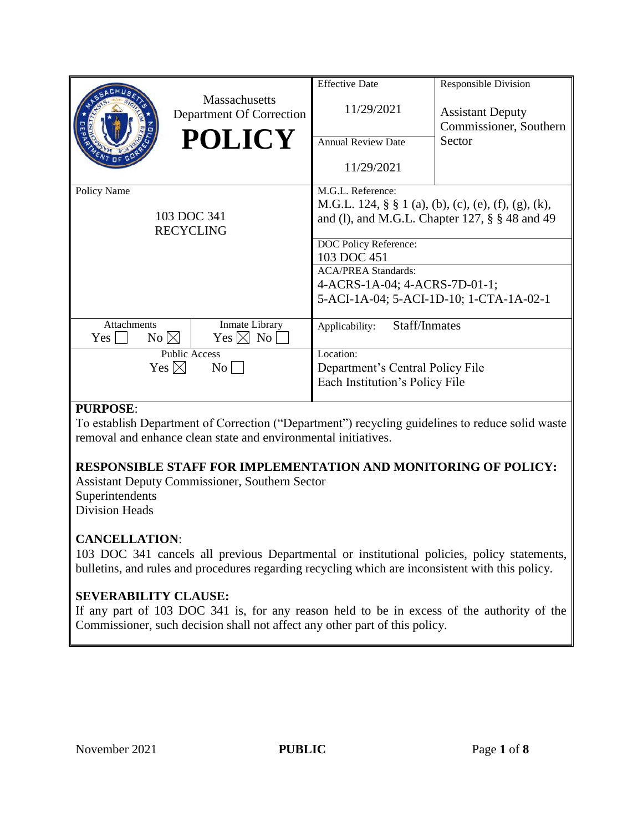|                                                      | Massachusetts<br>Department Of Correction<br><b>POLICY</b> | <b>Effective Date</b><br>11/29/2021<br><b>Annual Review Date</b><br>11/29/2021                                                                                                                                                                                                      | Responsible Division<br><b>Assistant Deputy</b><br>Commissioner, Southern<br>Sector |
|------------------------------------------------------|------------------------------------------------------------|-------------------------------------------------------------------------------------------------------------------------------------------------------------------------------------------------------------------------------------------------------------------------------------|-------------------------------------------------------------------------------------|
| Policy Name<br>103 DOC 341<br><b>RECYCLING</b>       |                                                            | M.G.L. Reference:<br>M.G.L. 124, § § 1 (a), (b), (c), (e), (f), (g), (k),<br>and (1), and M.G.L. Chapter 127, $\S$ $\S$ 48 and 49<br>DOC Policy Reference:<br>103 DOC 451<br><b>ACA/PREA Standards:</b><br>4-ACRS-1A-04; 4-ACRS-7D-01-1;<br>5-ACI-1A-04; 5-ACI-1D-10; 1-CTA-1A-02-1 |                                                                                     |
| <b>Attachments</b><br>$No \bowtie$<br>Yes            | Inmate Library<br>$Yes \boxtimes No$                       | Staff/Inmates<br>Applicability:                                                                                                                                                                                                                                                     |                                                                                     |
| <b>Public Access</b><br>Yes $\boxtimes$<br>$\rm{No}$ |                                                            | Location:<br>Department's Central Policy File<br>Each Institution's Policy File                                                                                                                                                                                                     |                                                                                     |

# **PURPOSE**:

To establish Department of Correction ("Department") recycling guidelines to reduce solid waste removal and enhance clean state and environmental initiatives.

# **RESPONSIBLE STAFF FOR IMPLEMENTATION AND MONITORING OF POLICY:**

Assistant Deputy Commissioner, Southern Sector Superintendents Division Heads

#### **CANCELLATION**:

103 DOC 341 cancels all previous Departmental or institutional policies, policy statements, bulletins, and rules and procedures regarding recycling which are inconsistent with this policy.

# **SEVERABILITY CLAUSE:**

If any part of 103 DOC 341 is, for any reason held to be in excess of the authority of the Commissioner, such decision shall not affect any other part of this policy.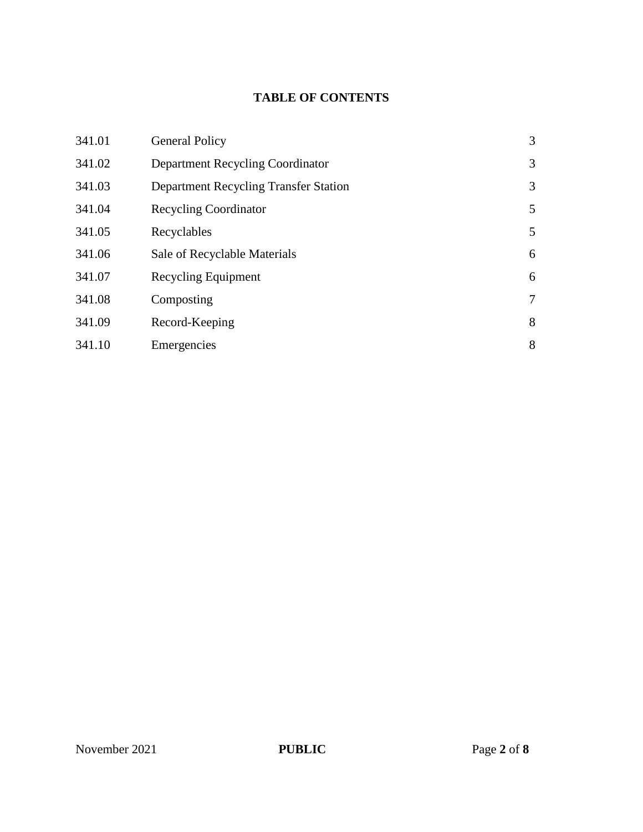# **TABLE OF CONTENTS**

| 341.01 | <b>General Policy</b>                        | 3 |
|--------|----------------------------------------------|---|
| 341.02 | Department Recycling Coordinator             | 3 |
| 341.03 | <b>Department Recycling Transfer Station</b> | 3 |
| 341.04 | <b>Recycling Coordinator</b>                 | 5 |
| 341.05 | Recyclables                                  | 5 |
| 341.06 | Sale of Recyclable Materials                 | 6 |
| 341.07 | <b>Recycling Equipment</b>                   | 6 |
| 341.08 | Composting                                   | 7 |
| 341.09 | Record-Keeping                               | 8 |
| 341.10 | Emergencies                                  | 8 |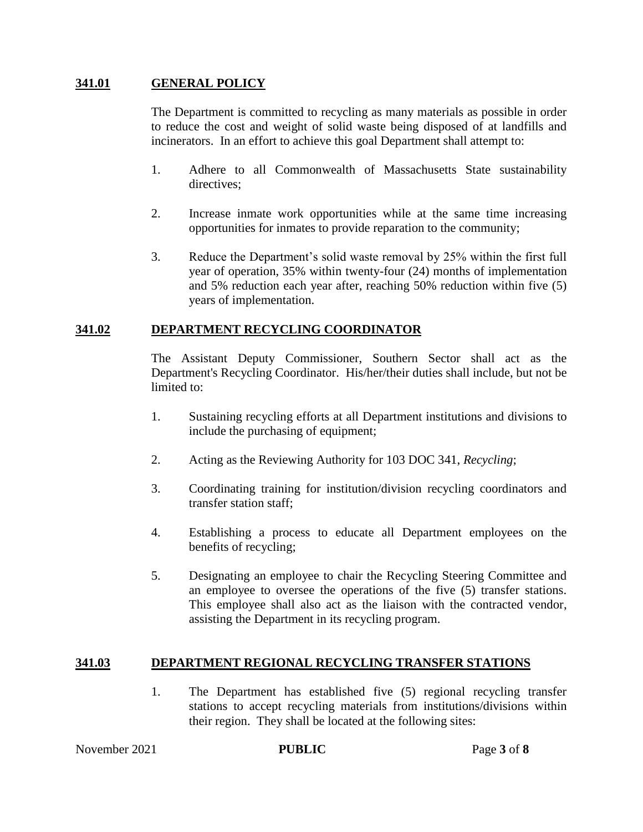#### **341.01 GENERAL POLICY**

The Department is committed to recycling as many materials as possible in order to reduce the cost and weight of solid waste being disposed of at landfills and incinerators. In an effort to achieve this goal Department shall attempt to:

- 1. Adhere to all Commonwealth of Massachusetts State sustainability directives;
- 2. Increase inmate work opportunities while at the same time increasing opportunities for inmates to provide reparation to the community;
- 3. Reduce the Department's solid waste removal by 25% within the first full year of operation, 35% within twenty-four (24) months of implementation and 5% reduction each year after, reaching 50% reduction within five (5) years of implementation.

#### **341.02 DEPARTMENT RECYCLING COORDINATOR**

The Assistant Deputy Commissioner, Southern Sector shall act as the Department's Recycling Coordinator. His/her/their duties shall include, but not be limited to:

- 1. Sustaining recycling efforts at all Department institutions and divisions to include the purchasing of equipment;
- 2. Acting as the Reviewing Authority for 103 DOC 341, *Recycling*;
- 3. Coordinating training for institution/division recycling coordinators and transfer station staff;
- 4. Establishing a process to educate all Department employees on the benefits of recycling;
- 5. Designating an employee to chair the Recycling Steering Committee and an employee to oversee the operations of the five (5) transfer stations. This employee shall also act as the liaison with the contracted vendor, assisting the Department in its recycling program.

#### **341.03 DEPARTMENT REGIONAL RECYCLING TRANSFER STATIONS**

1. The Department has established five (5) regional recycling transfer stations to accept recycling materials from institutions/divisions within their region. They shall be located at the following sites: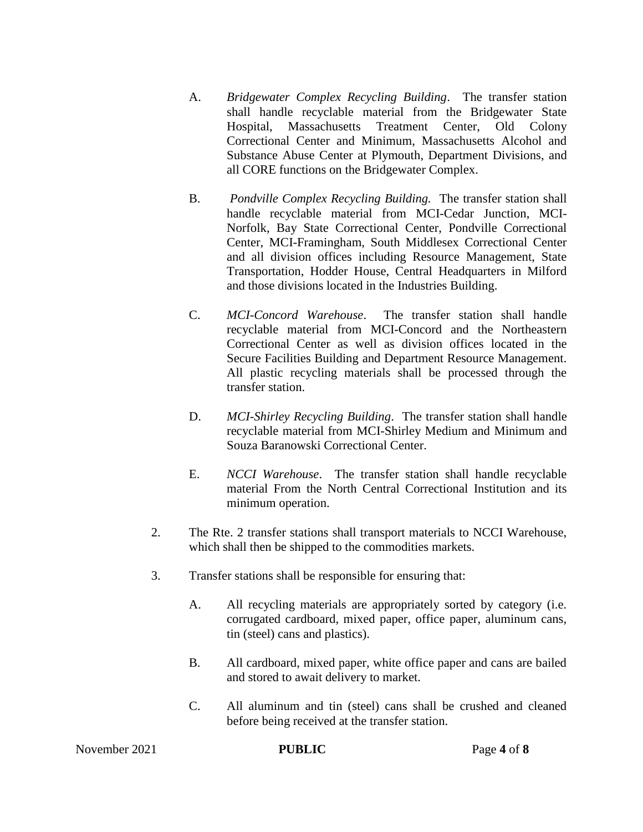- A. *Bridgewater Complex Recycling Building*. The transfer station shall handle recyclable material from the Bridgewater State Hospital, Massachusetts Treatment Center, Old Colony Correctional Center and Minimum, Massachusetts Alcohol and Substance Abuse Center at Plymouth, Department Divisions, and all CORE functions on the Bridgewater Complex.
- B. *Pondville Complex Recycling Building.* The transfer station shall handle recyclable material from MCI-Cedar Junction, MCI-Norfolk, Bay State Correctional Center, Pondville Correctional Center, MCI-Framingham, South Middlesex Correctional Center and all division offices including Resource Management, State Transportation, Hodder House, Central Headquarters in Milford and those divisions located in the Industries Building.
- C. *MCI-Concord Warehouse*. The transfer station shall handle recyclable material from MCI-Concord and the Northeastern Correctional Center as well as division offices located in the Secure Facilities Building and Department Resource Management. All plastic recycling materials shall be processed through the transfer station.
- D. *MCI-Shirley Recycling Building*. The transfer station shall handle recyclable material from MCI-Shirley Medium and Minimum and Souza Baranowski Correctional Center.
- E. *NCCI Warehouse*. The transfer station shall handle recyclable material From the North Central Correctional Institution and its minimum operation.
- 2. The Rte. 2 transfer stations shall transport materials to NCCI Warehouse, which shall then be shipped to the commodities markets.
- 3. Transfer stations shall be responsible for ensuring that:
	- A. All recycling materials are appropriately sorted by category (i.e. corrugated cardboard, mixed paper, office paper, aluminum cans, tin (steel) cans and plastics).
	- B. All cardboard, mixed paper, white office paper and cans are bailed and stored to await delivery to market.
	- C. All aluminum and tin (steel) cans shall be crushed and cleaned before being received at the transfer station.

November 2021 **PUBLIC** Page 4 of 8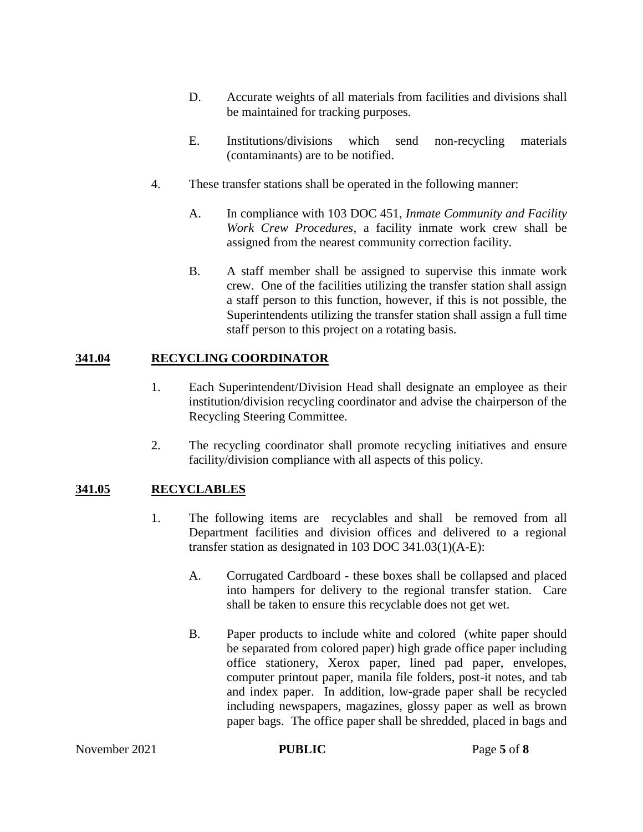- D. Accurate weights of all materials from facilities and divisions shall be maintained for tracking purposes.
- E. Institutions/divisions which send non-recycling materials (contaminants) are to be notified.
- 4. These transfer stations shall be operated in the following manner:
	- A. In compliance with 103 DOC 451, *Inmate Community and Facility Work Crew Procedures*, a facility inmate work crew shall be assigned from the nearest community correction facility.
	- B. A staff member shall be assigned to supervise this inmate work crew. One of the facilities utilizing the transfer station shall assign a staff person to this function, however, if this is not possible, the Superintendents utilizing the transfer station shall assign a full time staff person to this project on a rotating basis.

# **341.04 RECYCLING COORDINATOR**

- 1. Each Superintendent/Division Head shall designate an employee as their institution/division recycling coordinator and advise the chairperson of the Recycling Steering Committee.
- 2. The recycling coordinator shall promote recycling initiatives and ensure facility/division compliance with all aspects of this policy.

# **341.05 RECYCLABLES**

- 1. The following items are recyclables and shall be removed from all Department facilities and division offices and delivered to a regional transfer station as designated in 103 DOC 341.03(1)(A-E):
	- A. Corrugated Cardboard these boxes shall be collapsed and placed into hampers for delivery to the regional transfer station. Care shall be taken to ensure this recyclable does not get wet.
	- B. Paper products to include white and colored (white paper should be separated from colored paper) high grade office paper including office stationery, Xerox paper, lined pad paper, envelopes, computer printout paper, manila file folders, post-it notes, and tab and index paper. In addition, low-grade paper shall be recycled including newspapers, magazines, glossy paper as well as brown paper bags. The office paper shall be shredded, placed in bags and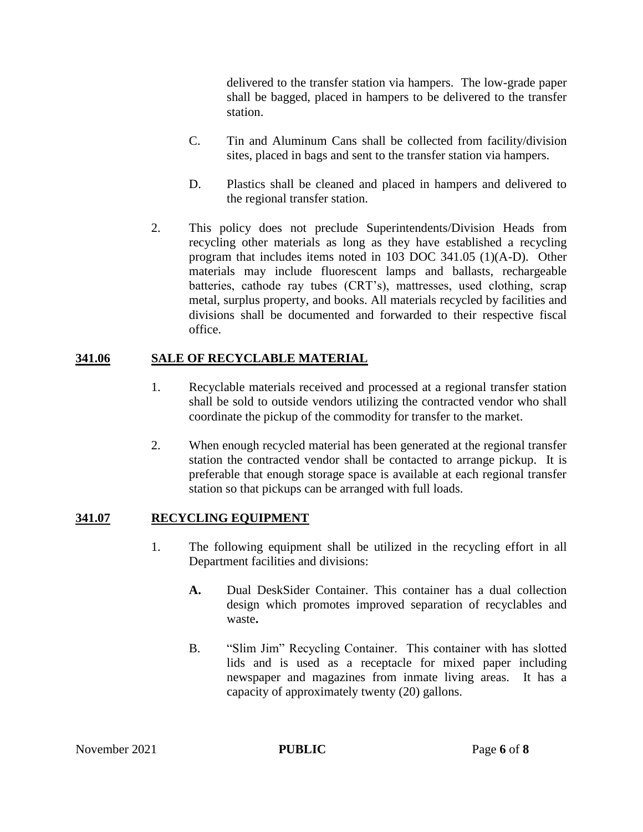delivered to the transfer station via hampers. The low-grade paper shall be bagged, placed in hampers to be delivered to the transfer station.

- C. Tin and Aluminum Cans shall be collected from facility/division sites, placed in bags and sent to the transfer station via hampers.
- D. Plastics shall be cleaned and placed in hampers and delivered to the regional transfer station.
- 2. This policy does not preclude Superintendents/Division Heads from recycling other materials as long as they have established a recycling program that includes items noted in 103 DOC 341.05 (1)(A-D). Other materials may include fluorescent lamps and ballasts, rechargeable batteries, cathode ray tubes (CRT's), mattresses, used clothing, scrap metal, surplus property, and books. All materials recycled by facilities and divisions shall be documented and forwarded to their respective fiscal office.

#### **341.06 SALE OF RECYCLABLE MATERIAL**

- 1. Recyclable materials received and processed at a regional transfer station shall be sold to outside vendors utilizing the contracted vendor who shall coordinate the pickup of the commodity for transfer to the market.
- 2. When enough recycled material has been generated at the regional transfer station the contracted vendor shall be contacted to arrange pickup. It is preferable that enough storage space is available at each regional transfer station so that pickups can be arranged with full loads.

# **341.07 RECYCLING EQUIPMENT**

- 1. The following equipment shall be utilized in the recycling effort in all Department facilities and divisions:
	- **A.** Dual DeskSider Container. This container has a dual collection design which promotes improved separation of recyclables and waste**.**
	- B. "Slim Jim" Recycling Container. This container with has slotted lids and is used as a receptacle for mixed paper including newspaper and magazines from inmate living areas. It has a capacity of approximately twenty (20) gallons.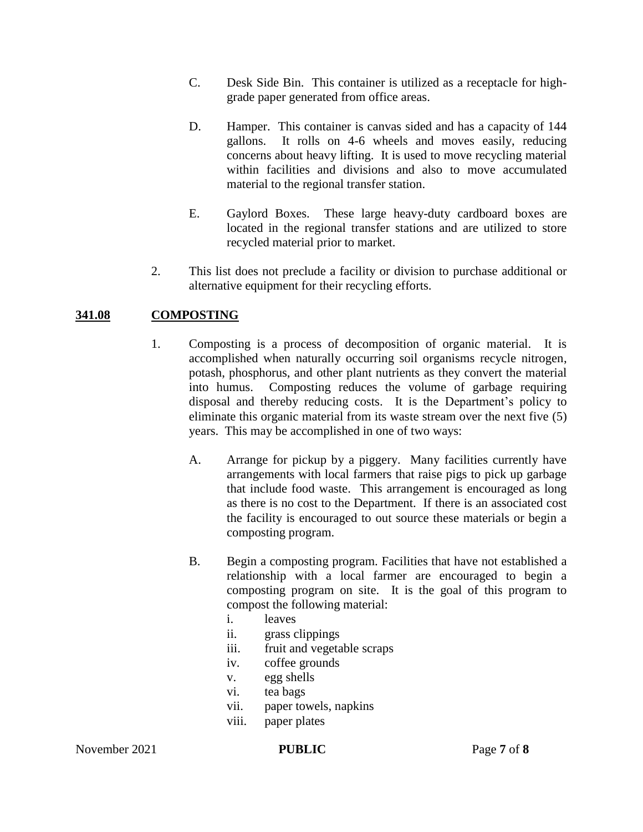- C. Desk Side Bin. This container is utilized as a receptacle for highgrade paper generated from office areas.
- D. Hamper. This container is canvas sided and has a capacity of 144 gallons. It rolls on 4-6 wheels and moves easily, reducing concerns about heavy lifting. It is used to move recycling material within facilities and divisions and also to move accumulated material to the regional transfer station.
- E. Gaylord Boxes. These large heavy-duty cardboard boxes are located in the regional transfer stations and are utilized to store recycled material prior to market.
- 2. This list does not preclude a facility or division to purchase additional or alternative equipment for their recycling efforts.

# **341.08 COMPOSTING**

- 1. Composting is a process of decomposition of organic material. It is accomplished when naturally occurring soil organisms recycle nitrogen, potash, phosphorus, and other plant nutrients as they convert the material into humus. Composting reduces the volume of garbage requiring disposal and thereby reducing costs. It is the Department's policy to eliminate this organic material from its waste stream over the next five (5) years. This may be accomplished in one of two ways:
	- A. Arrange for pickup by a piggery. Many facilities currently have arrangements with local farmers that raise pigs to pick up garbage that include food waste. This arrangement is encouraged as long as there is no cost to the Department. If there is an associated cost the facility is encouraged to out source these materials or begin a composting program.
	- B. Begin a composting program. Facilities that have not established a relationship with a local farmer are encouraged to begin a composting program on site. It is the goal of this program to compost the following material:
		- i. leaves
		- ii. grass clippings
		- iii. fruit and vegetable scraps
		- iv. coffee grounds
		- v. egg shells
		- vi. tea bags
		- vii. paper towels, napkins
		- viii. paper plates

November 2021 **PUBLIC** Page 7 of 8